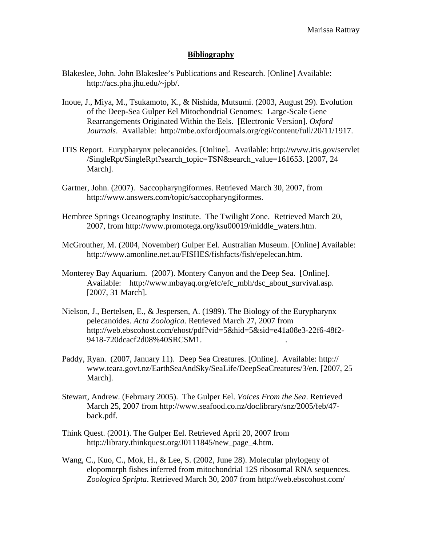## **Bibliography**

- Blakeslee, John. John Blakeslee's Publications and Research. [Online] Available: http://acs.pha.jhu.edu/~jpb/.
- Inoue, J., Miya, M., Tsukamoto, K., & Nishida, Mutsumi. (2003, August 29). Evolution of the Deep-Sea Gulper Eel Mitochondrial Genomes: Large-Scale Gene Rearrangements Originated Within the Eels. [Electronic Version]. *Oxford Journals*. Available: http://mbe.oxfordjournals.org/cgi/content/full/20/11/1917.
- ITIS Report. Eurypharynx pelecanoides. [Online]. Available: http://www.itis.gov/servlet /SingleRpt/SingleRpt?search\_topic=TSN&search\_value=161653. [2007, 24 March].
- Gartner, John. (2007). Saccopharyngiformes. Retrieved March 30, 2007, from http://www.answers.com/topic/saccopharyngiformes.
- Hembree Springs Oceanography Institute. The Twilight Zone. Retrieved March 20, 2007, from http://www.promotega.org/ksu00019/middle\_waters.htm.
- McGrouther, M. (2004, November) Gulper Eel. Australian Museum. [Online] Available: http://www.amonline.net.au/FISHES/fishfacts/fish/epelecan.htm.
- Monterey Bay Aquarium. (2007). Montery Canyon and the Deep Sea. [Online]. Available: http://www.mbayaq.org/efc/efc\_mbh/dsc\_about\_survival.asp. [2007, 31 March].
- Nielson, J., Bertelsen, E., & Jespersen, A. (1989). The Biology of the Eurypharynx pelecanoides. *Acta Zoologica*. Retrieved March 27, 2007 from http://web.ebscohost.com/ehost/pdf?vid=5&hid=5&sid=e41a08e3-22f6-48f2- 9418-720dcacf2d08%40SRCSM1. .
- Paddy, Ryan. (2007, January 11). Deep Sea Creatures. [Online]. Available: http:// www.teara.govt.nz/EarthSeaAndSky/SeaLife/DeepSeaCreatures/3/en. [2007, 25 March].
- Stewart, Andrew. (February 2005). The Gulper Eel. *Voices From the Sea*. Retrieved March 25, 2007 from [http://www.seafood.co.nz/doclibrary/snz/2005/feb/47](http://www.seafood.co.nz/doclibrary/snz/2005/feb/47-back.pdf)  [back.pdf.](http://www.seafood.co.nz/doclibrary/snz/2005/feb/47-back.pdf)
- Think Quest. (2001). The Gulper Eel. Retrieved April 20, 2007 from http://library.thinkquest.org/J0111845/new\_page\_4.htm.
- Wang, C., Kuo, C., Mok, H., & Lee, S. (2002, June 28). Molecular phylogeny of elopomorph fishes inferred from mitochondrial 12S ribosomal RNA sequences. *Zoologica Spripta*. Retrieved March 30, 2007 from http://web.ebscohost.com/